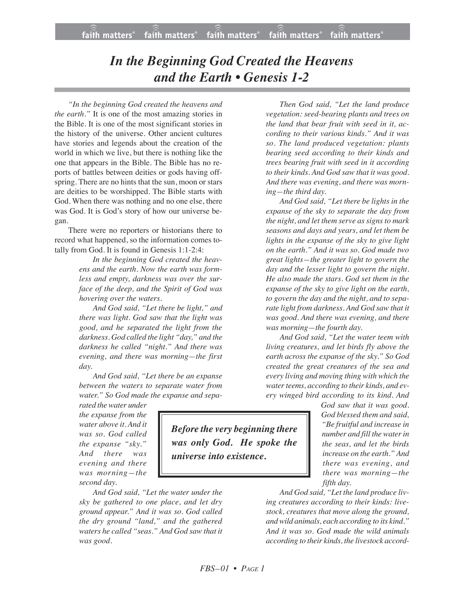## *In the Beginning God Created the Heavens and the Earth • Genesis 1-2*

*"In the beginning God created the heavens and the earth."* It is one of the most amazing stories in the Bible. It is one of the most significant stories in the history of the universe. Other ancient cultures have stories and legends about the creation of the world in which we live, but there is nothing like the one that appears in the Bible. The Bible has no reports of battles between deities or gods having offspring. There are no hints that the sun, moon or stars are deities to be worshipped. The Bible starts with God. When there was nothing and no one else, there was God. It is God's story of how our universe began.

There were no reporters or historians there to record what happened, so the information comes totally from God. It is found in Genesis 1:1-2:4:

> *In the beginning God created the heavens and the earth. Now the earth was formless and empty, darkness was over the surface of the deep, and the Spirit of God was hovering over the waters.*

> *And God said, "Let there be light," and there was light. God saw that the light was good, and he separated the light from the darkness. God called the light "day," and the darkness he called "night." And there was evening, and there was morning—the first day.*

> *And God said, "Let there be an expanse between the waters to separate water from water." So God made the expanse and sepa-*

*rated the water under the expanse from the water above it. And it was so. God called the expanse "sky." And there was evening and there was morning—the second day.*

*And God said, "Let the water under the sky be gathered to one place, and let dry ground appear." And it was so. God called the dry ground "land," and the gathered waters he called "seas." And God saw that it was good.*

*Then God said, "Let the land produce vegetation: seed-bearing plants and trees on the land that bear fruit with seed in it, according to their various kinds." And it was so. The land produced vegetation: plants bearing seed according to their kinds and trees bearing fruit with seed in it according to their kinds. And God saw that it was good. And there was evening, and there was morning—the third day.*

*And God said, "Let there be lights in the expanse of the sky to separate the day from the night, and let them serve as signs to mark seasons and days and years, and let them be lights in the expanse of the sky to give light on the earth." And it was so. God made two great lights—the greater light to govern the day and the lesser light to govern the night. He also made the stars. God set them in the expanse of the sky to give light on the earth, to govern the day and the night, and to separate light from darkness. And God saw that it was good. And there was evening, and there was morning—the fourth day.*

*And God said, "Let the water teem with living creatures, and let birds fly above the earth across the expanse of the sky." So God created the great creatures of the sea and every living and moving thing with which the water teems, according to their kinds, and every winged bird according to its kind. And*

*God saw that it was good. God blessed them and said, "Be fruitful and increase in number and fill the water in the seas, and let the birds increase on the earth." And there was evening, and there was morning—the fifth day.*

*And God said, "Let the land produce living creatures according to their kinds: livestock, creatures that move along the ground, and wild animals, each according to its kind." And it was so. God made the wild animals according to their kinds, the livestock accord-*

*Before the very beginning there was only God. He spoke the universe into existence.*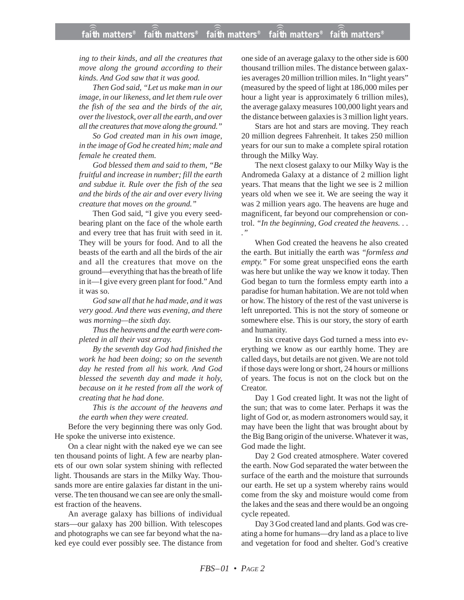*ing to their kinds, and all the creatures that move along the ground according to their kinds. And God saw that it was good.*

*Then God said, "Let us make man in our image, in our likeness, and let them rule over the fish of the sea and the birds of the air, over the livestock, over all the earth, and over all the creatures that move along the ground."*

*So God created man in his own image, in the image of God he created him; male and female he created them.*

*God blessed them and said to them, "Be fruitful and increase in number; fill the earth and subdue it. Rule over the fish of the sea and the birds of the air and over every living creature that moves on the ground."*

Then God said, "I give you every seedbearing plant on the face of the whole earth and every tree that has fruit with seed in it. They will be yours for food. And to all the beasts of the earth and all the birds of the air and all the creatures that move on the ground—everything that has the breath of life in it—I give every green plant for food." And it was so.

*God saw all that he had made, and it was very good. And there was evening, and there was morning—the sixth day.*

*Thus the heavens and the earth were completed in all their vast array.*

*By the seventh day God had finished the work he had been doing; so on the seventh day he rested from all his work. And God blessed the seventh day and made it holy, because on it he rested from all the work of creating that he had done.*

*This is the account of the heavens and the earth when they were created.*

Before the very beginning there was only God. He spoke the universe into existence.

On a clear night with the naked eye we can see ten thousand points of light. A few are nearby planets of our own solar system shining with reflected light. Thousands are stars in the Milky Way. Thousands more are entire galaxies far distant in the universe. The ten thousand we can see are only the smallest fraction of the heavens.

An average galaxy has billions of individual stars—our galaxy has 200 billion. With telescopes and photographs we can see far beyond what the naked eye could ever possibly see. The distance from one side of an average galaxy to the other side is 600 thousand trillion miles. The distance between galaxies averages 20 million trillion miles. In "light years" (measured by the speed of light at 186,000 miles per hour a light year is approximately 6 trillion miles), the average galaxy measures 100,000 light years and the distance between galaxies is 3 million light years.

Stars are hot and stars are moving. They reach 20 million degrees Fahrenheit. It takes 250 million years for our sun to make a complete spiral rotation through the Milky Way.

The next closest galaxy to our Milky Way is the Andromeda Galaxy at a distance of 2 million light years. That means that the light we see is 2 million years old when we see it. We are seeing the way it was 2 million years ago. The heavens are huge and magnificent, far beyond our comprehension or control. *"In the beginning, God created the heavens. . . ."*

When God created the heavens he also created the earth. But initially the earth was *"formless and empty."* For some great unspecified eons the earth was here but unlike the way we know it today. Then God began to turn the formless empty earth into a paradise for human habitation. We are not told when or how. The history of the rest of the vast universe is left unreported. This is not the story of someone or somewhere else. This is our story, the story of earth and humanity.

In six creative days God turned a mess into everything we know as our earthly home. They are called days, but details are not given. We are not told if those days were long or short, 24 hours or millions of years. The focus is not on the clock but on the Creator.

Day 1 God created light. It was not the light of the sun; that was to come later. Perhaps it was the light of God or, as modern astronomers would say, it may have been the light that was brought about by the Big Bang origin of the universe. Whatever it was, God made the light.

Day 2 God created atmosphere. Water covered the earth. Now God separated the water between the surface of the earth and the moisture that surrounds our earth. He set up a system whereby rains would come from the sky and moisture would come from the lakes and the seas and there would be an ongoing cycle repeated.

Day 3 God created land and plants. God was creating a home for humans—dry land as a place to live and vegetation for food and shelter. God's creative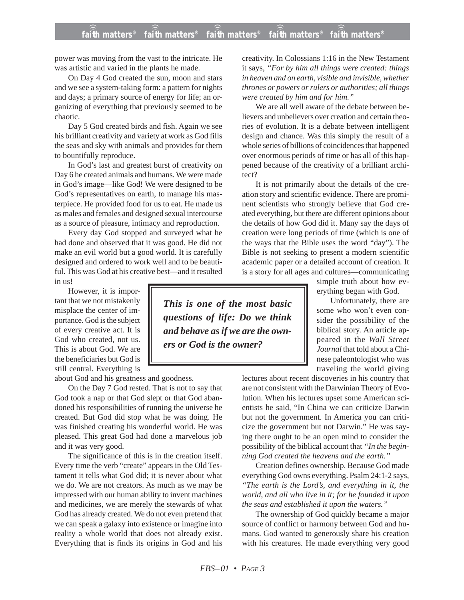power was moving from the vast to the intricate. He was artistic and varied in the plants he made.

On Day 4 God created the sun, moon and stars and we see a system-taking form: a pattern for nights and days; a primary source of energy for life; an organizing of everything that previously seemed to be chaotic.

Day 5 God created birds and fish. Again we see his brilliant creativity and variety at work as God fills the seas and sky with animals and provides for them to bountifully reproduce.

In God's last and greatest burst of creativity on Day 6 he created animals and humans. We were made in God's image—like God! We were designed to be God's representatives on earth, to manage his masterpiece. He provided food for us to eat. He made us as males and females and designed sexual intercourse as a source of pleasure, intimacy and reproduction.

Every day God stopped and surveyed what he had done and observed that it was good. He did not make an evil world but a good world. It is carefully designed and ordered to work well and to be beautiful. This was God at his creative best—and it resulted in us!

However, it is important that we not mistakenly misplace the center of importance. God is the subject of every creative act. It is God who created, not us. This is about God. We are the beneficiaries but God is still central. Everything is

about God and his greatness and goodness.

On the Day 7 God rested. That is not to say that God took a nap or that God slept or that God abandoned his responsibilities of running the universe he created. But God did stop what he was doing. He was finished creating his wonderful world. He was pleased. This great God had done a marvelous job and it was very good.

The significance of this is in the creation itself. Every time the verb "create" appears in the Old Testament it tells what God did; it is never about what we do. We are not creators. As much as we may be impressed with our human ability to invent machines and medicines, we are merely the stewards of what God has already created. We do not even pretend that we can speak a galaxy into existence or imagine into reality a whole world that does not already exist. Everything that is finds its origins in God and his creativity. In Colossians 1:16 in the New Testament it says, *"For by him all things were created: things in heaven and on earth, visible and invisible, whether thrones or powers or rulers or authorities; all things were created by him and for him."*

We are all well aware of the debate between believers and unbelievers over creation and certain theories of evolution. It is a debate between intelligent design and chance. Was this simply the result of a whole series of billions of coincidences that happened over enormous periods of time or has all of this happened because of the creativity of a brilliant architect?

It is not primarily about the details of the creation story and scientific evidence. There are prominent scientists who strongly believe that God created everything, but there are different opinions about the details of how God did it. Many say the days of creation were long periods of time (which is one of the ways that the Bible uses the word "day"). The Bible is not seeking to present a modern scientific academic paper or a detailed account of creation. It is a story for all ages and cultures—communicating

simple truth about how everything began with God.

Unfortunately, there are some who won't even consider the possibility of the biblical story. An article appeared in the *Wall Street Journal* that told about a Chinese paleontologist who was traveling the world giving

lectures about recent discoveries in his country that are not consistent with the Darwinian Theory of Evolution. When his lectures upset some American scientists he said, "In China we can criticize Darwin but not the government. In America you can criticize the government but not Darwin." He was saying there ought to be an open mind to consider the possibility of the biblical account that *"In the beginning God created the heavens and the earth."*

Creation defines ownership. Because God made everything God owns everything. Psalm 24:1-2 says, *"The earth is the Lord's, and everything in it, the world, and all who live in it; for he founded it upon the seas and established it upon the waters."*

The ownership of God quickly became a major source of conflict or harmony between God and humans. God wanted to generously share his creation with his creatures. He made everything very good

*This is one of the most basic questions of life: Do we think and behave as if we are the owners or God is the owner?*